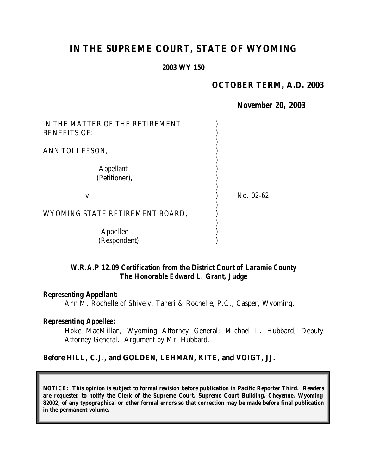# **IN THE SUPREME COURT, STATE OF WYOMING**

#### **2003 WY 150**

# **OCTOBER TERM, A.D. 2003**

*November 20, 2003*

| IN THE MATTER OF THE RETIREMENT<br><b>BENEFITS OF:</b> |           |
|--------------------------------------------------------|-----------|
| ANN TOLLEFSON,                                         |           |
| <b>Appellant</b><br>(Petitioner),                      |           |
| V.                                                     | No. 02-62 |
| WYOMING STATE RETIREMENT BOARD,                        |           |
| Appellee<br>(Respondent).                              |           |

## *W.R.A.P 12.09 Certification from the District Court of Laramie County The Honorable Edward L. Grant, Judge*

#### *Representing Appellant:*

Ann M. Rochelle of Shively, Taheri & Rochelle, P.C., Casper, Wyoming.

#### *Representing Appellee:*

Hoke MacMillan, Wyoming Attorney General; Michael L. Hubbard, Deputy Attorney General. Argument by Mr. Hubbard.

#### **Before HILL, C.J., and GOLDEN, LEHMAN, KITE, and VOIGT, JJ.**

**NOTICE: This opinion is subject to formal revision before publication in Pacific Reporter Third. Readers are requested to notify the Clerk of the Supreme Court, Supreme Court Building, Cheyenne, Wyoming 82002, of any typographical or other formal errors so that correction may be made before final publication in the permanent volume.**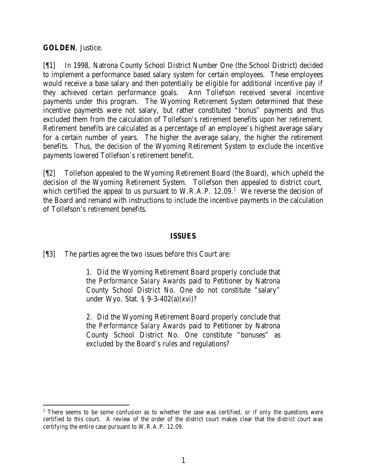## **GOLDEN**, Justice.

[¶1] In 1998, Natrona County School District Number One (the School District) decided to implement a performance based salary system for certain employees. These employees would receive a base salary and then potentially be eligible for additional incentive pay if they achieved certain performance goals. Ann Tollefson received several incentive payments under this program. The Wyoming Retirement System determined that these incentive payments were not salary, but rather constituted "bonus" payments and thus excluded them from the calculation of Tollefson's retirement benefits upon her retirement. Retirement benefits are calculated as a percentage of an employee's highest average salary for a certain number of years. The higher the average salary, the higher the retirement benefits. Thus, the decision of the Wyoming Retirement System to exclude the incentive payments lowered Tollefson's retirement benefit.

[¶2] Tollefson appealed to the Wyoming Retirement Board (the Board), which upheld the decision of the Wyoming Retirement System. Tollefson then appealed to district court, which certified the appeal to us pursuant to W.R.A.P.  $12.09$ .<sup>1</sup> We reverse the decision of the Board and remand with instructions to include the incentive payments in the calculation of Tollefson's retirement benefits.

#### **ISSUES**

[¶3] The parties agree the two issues before this Court are:

1. Did the Wyoming Retirement Board properly conclude that the *Performance Salary Awards* paid to Petitioner by Natrona County School District No. One do not constitute "salary" under Wyo. Stat. § 9-3-402(a)(xvi)?

2. Did the Wyoming Retirement Board properly conclude that the *Performance Salary Awards* paid to Petitioner by Natrona County School District No. One constitute "bonuses" as excluded by the Board's rules and regulations?

<sup>&</sup>lt;sup>1</sup> There seems to be some confusion as to whether the case was certified, or if only the questions were certified to this court. A review of the order of the district court makes clear that the district court was certifying the entire case pursuant to W.R.A.P. 12.09.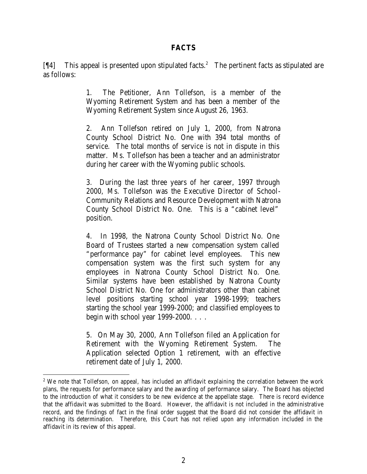## **FACTS**

 $[$ [14] This appeal is presented upon stipulated facts.<sup>2</sup> The pertinent facts as stipulated are as follows:

> 1. The Petitioner, Ann Tollefson, is a member of the Wyoming Retirement System and has been a member of the Wyoming Retirement System since August 26, 1963.

> 2. Ann Tollefson retired on July 1, 2000, from Natrona County School District No. One with 394 total months of service. The total months of service is not in dispute in this matter. Ms. Tollefson has been a teacher and an administrator during her career with the Wyoming public schools.

> 3. During the last three years of her career, 1997 through 2000, Ms. Tollefson was the Executive Director of School-Community Relations and Resource Development with Natrona County School District No. One. This is a "cabinet level" position.

> 4. In 1998, the Natrona County School District No. One Board of Trustees started a new compensation system called "performance pay" for cabinet level employees. This new compensation system was the first such system for any employees in Natrona County School District No. One. Similar systems have been established by Natrona County School District No. One for administrators other than cabinet level positions starting school year 1998-1999; teachers starting the school year 1999-2000; and classified employees to begin with school year 1999-2000. . . .

> 5. On May 30, 2000, Ann Tollefson filed an Application for Retirement with the Wyoming Retirement System. The Application selected Option 1 retirement, with an effective retirement date of July 1, 2000.

<sup>&</sup>lt;sup>2</sup> We note that Tollefson, on appeal, has included an affidavit explaining the correlation between the work plans, the requests for performance salary and the awarding of performance salary. The Board has objected to the introduction of what it considers to be new evidence at the appellate stage. There is record evidence that the affidavit was submitted to the Board. However, the affidavit is not included in the administrative record, and the findings of fact in the final order suggest that the Board did not consider the affidavit in reaching its determination. Therefore, this Court has not relied upon any information included in the affidavit in its review of this appeal.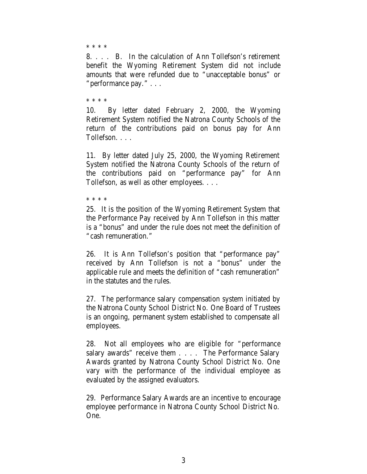\* \* \* \*

8. . . . B. In the calculation of Ann Tollefson's retirement benefit the Wyoming Retirement System did not include amounts that were refunded due to "unacceptable bonus" or "performance pay." . . .

\* \* \* \*

10. By letter dated February 2, 2000, the Wyoming Retirement System notified the Natrona County Schools of the return of the contributions paid on bonus pay for Ann Tollefson. . . .

11. By letter dated July 25, 2000, the Wyoming Retirement System notified the Natrona County Schools of the return of the contributions paid on "performance pay" for Ann Tollefson, as well as other employees. . . .

\* \* \* \*

25. It is the position of the Wyoming Retirement System that the Performance Pay received by Ann Tollefson in this matter is a "bonus" and under the rule does not meet the definition of "cash remuneration."

26. It is Ann Tollefson's position that "performance pay" received by Ann Tollefson is not a "bonus" under the applicable rule and meets the definition of "cash remuneration" in the statutes and the rules.

27. The performance salary compensation system initiated by the Natrona County School District No. One Board of Trustees is an ongoing, permanent system established to compensate all employees.

28. Not all employees who are eligible for "performance salary awards" receive them . . . . The Performance Salary Awards granted by Natrona County School District No. One vary with the performance of the individual employee as evaluated by the assigned evaluators.

29. Performance Salary Awards are an incentive to encourage employee performance in Natrona County School District No. One.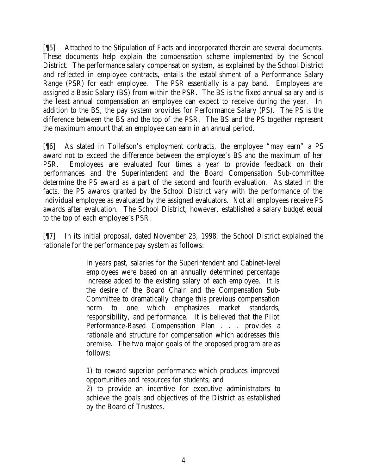[¶5] Attached to the Stipulation of Facts and incorporated therein are several documents. These documents help explain the compensation scheme implemented by the School District. The performance salary compensation system, as explained by the School District and reflected in employee contracts, entails the establishment of a Performance Salary Range (PSR) for each employee. The PSR essentially is a pay band. Employees are assigned a Basic Salary (BS) from within the PSR. The BS is the fixed annual salary and is the least annual compensation an employee can expect to receive during the year. In addition to the BS, the pay system provides for Performance Salary (PS). The PS is the difference between the BS and the top of the PSR. The BS and the PS together represent the maximum amount that an employee can earn in an annual period.

[¶6] As stated in Tollefson's employment contracts, the employee "may earn" a PS award not to exceed the difference between the employee's BS and the maximum of her PSR. Employees are evaluated four times a year to provide feedback on their performances and the Superintendent and the Board Compensation Sub-committee determine the PS award as a part of the second and fourth evaluation. As stated in the facts, the PS awards granted by the School District vary with the performance of the individual employee as evaluated by the assigned evaluators. Not all employees receive PS awards after evaluation. The School District, however, established a salary budget equal to the top of each employee's PSR.

[¶7] In its initial proposal, dated November 23, 1998, the School District explained the rationale for the performance pay system as follows:

> In years past, salaries for the Superintendent and Cabinet-level employees were based on an annually determined percentage increase added to the existing salary of each employee. It is the desire of the Board Chair and the Compensation Sub-Committee to dramatically change this previous compensation norm to one which emphasizes market standards, responsibility, and performance. It is believed that the Pilot Performance-Based Compensation Plan . . . provides a rationale and structure for compensation which addresses this premise. The two major goals of the proposed program are as follows:

1) to reward superior performance which produces improved opportunities and resources for students; and

2) to provide an incentive for executive administrators to achieve the goals and objectives of the District as established by the Board of Trustees.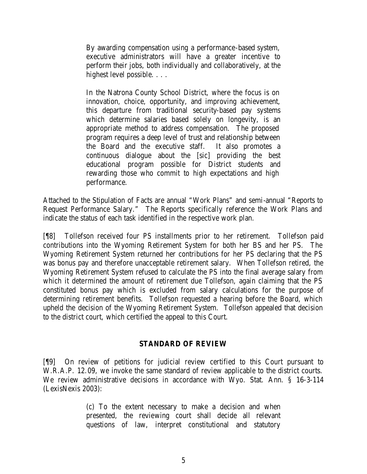By awarding compensation using a performance-based system, executive administrators will have a greater incentive to perform their jobs, both individually and collaboratively, at the highest level possible. . . .

In the Natrona County School District, where the focus is on innovation, choice, opportunity, and improving achievement, this departure from traditional security-based pay systems which determine salaries based solely on longevity, is an appropriate method to address compensation. The proposed program requires a deep level of trust and relationship between the Board and the executive staff. It also promotes a continuous dialogue about the [sic] providing the best educational program possible for District students and rewarding those who commit to high expectations and high performance.

Attached to the Stipulation of Facts are annual "Work Plans" and semi-annual "Reports to Request Performance Salary." The Reports specifically reference the Work Plans and indicate the status of each task identified in the respective work plan.

[¶8] Tollefson received four PS installments prior to her retirement. Tollefson paid contributions into the Wyoming Retirement System for both her BS and her PS. The Wyoming Retirement System returned her contributions for her PS declaring that the PS was bonus pay and therefore unacceptable retirement salary. When Tollefson retired, the Wyoming Retirement System refused to calculate the PS into the final average salary from which it determined the amount of retirement due Tollefson, again claiming that the PS constituted bonus pay which is excluded from salary calculations for the purpose of determining retirement benefits. Tollefson requested a hearing before the Board, which upheld the decision of the Wyoming Retirement System. Tollefson appealed that decision to the district court, which certified the appeal to this Court.

## **STANDARD OF REVIEW**

[¶9] On review of petitions for judicial review certified to this Court pursuant to W.R.A.P. 12.09, we invoke the same standard of review applicable to the district courts. We review administrative decisions in accordance with Wyo. Stat. Ann. § 16-3-114 (LexisNexis 2003):

> (c) To the extent necessary to make a decision and when presented, the reviewing court shall decide all relevant questions of law, interpret constitutional and statutory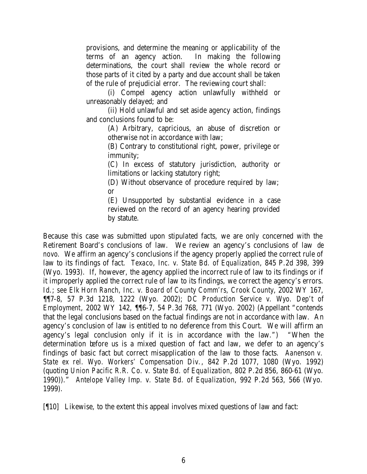provisions, and determine the meaning or applicability of the terms of an agency action. In making the following determinations, the court shall review the whole record or those parts of it cited by a party and due account shall be taken of the rule of prejudicial error. The reviewing court shall:

(i) Compel agency action unlawfully withheld or unreasonably delayed; and

(ii) Hold unlawful and set aside agency action, findings and conclusions found to be:

> (A) Arbitrary, capricious, an abuse of discretion or otherwise not in accordance with law;

> (B) Contrary to constitutional right, power, privilege or immunity;

> (C) In excess of statutory jurisdiction, authority or limitations or lacking statutory right;

(D) Without observance of procedure required by law; or

(E) Unsupported by substantial evidence in a case reviewed on the record of an agency hearing provided by statute.

Because this case was submitted upon stipulated facts, we are only concerned with the Retirement Board's conclusions of law. We review an agency's conclusions of law *de novo*. We affirm an agency's conclusions if the agency properly applied the correct rule of law to its findings of fact. *Texaco, Inc. v. State Bd. of Equalization*, 845 P.2d 398, 399 (Wyo. 1993). If, however, the agency applied the incorrect rule of law to its findings or if it improperly applied the correct rule of law to its findings, we correct the agency's errors. *Id*.; *see Elk Horn Ranch, Inc. v. Board of County Comm'rs, Crook County*, 2002 WY 167, ¶¶7-8, 57 P.3d 1218, 1222 (Wyo. 2002); *DC Production Service v. Wyo. Dep't of Employment*, 2002 WY 142, ¶¶6-7, 54 P.3d 768, 771 (Wyo. 2002) (Appellant "contends that the legal conclusions based on the factual findings are not in accordance with law. An agency's conclusion of law is entitled to no deference from this Court. We will affirm an agency's legal conclusion only if it is in accordance with the law.") "When the determination before us is a mixed question of fact and law, we defer to an agency's findings of basic fact but correct misapplication of the law to those facts. *Aanenson v. State ex rel. Wyo. Workers' Compensation Div.*, 842 P.2d 1077, 1080 (Wyo. 1992) (quoting *Union Pacific R.R. Co. v. State Bd. of Equalization*, 802 P.2d 856, 860-61 (Wyo. 1990))." *Antelope Valley Imp. v. State Bd. of Equalization*, 992 P.2d 563, 566 (Wyo. 1999).

[¶10] Likewise, to the extent this appeal involves mixed questions of law and fact: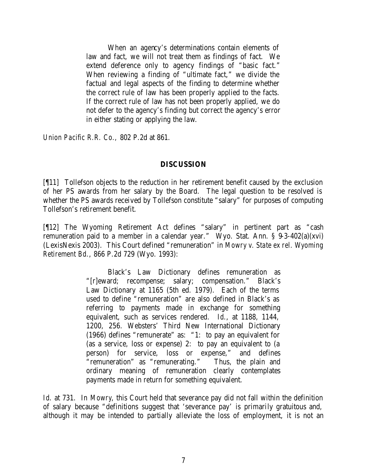When an agency's determinations contain elements of law and fact, we will not treat them as findings of fact. We extend deference only to agency findings of "basic fact." When reviewing a finding of "ultimate fact," we divide the factual and legal aspects of the finding to determine whether the correct rule of law has been properly applied to the facts. If the correct rule of law has not been properly applied, we do not defer to the agency's finding but correct the agency's error in either stating or applying the law.

*Union Pacific R.R. Co.,* 802 P.2d at 861.

# **DISCUSSION**

[¶11] Tollefson objects to the reduction in her retirement benefit caused by the exclusion of her PS awards from her salary by the Board. The legal question to be resolved is whether the PS awards received by Tollefson constitute "salary" for purposes of computing Tollefson's retirement benefit.

[¶12] The Wyoming Retirement Act defines "salary" in pertinent part as "cash remuneration paid to a member in a calendar year." Wyo. Stat. Ann. § 9-3-402(a)(xvi) (LexisNexis 2003). This Court defined "remuneration" in *Mowry v. State ex rel. Wyoming Retirement Bd.*, 866 P.2d 729 (Wyo. 1993):

> Black's Law Dictionary defines remuneration as "[r]eward; recompense; salary; compensation." Black's Law Dictionary at 1165 (5th ed. 1979). Each of the terms used to define "remuneration" are also defined in Black's as referring to payments made in exchange for something equivalent, such as services rendered. *Id*., at 1188, 1144, 1200, 256. Websters' Third New International Dictionary (1966) defines "remunerate" as: "1: to pay an equivalent for (as a service, loss or expense) 2: to pay an equivalent to (a person) for service, loss or expense," and defines "remuneration" as "remunerating." Thus, the plain and ordinary meaning of remuneration clearly contemplates payments made in return for something equivalent.

*Id*. at 731. In *Mowry*, this Court held that severance pay did not fall within the definition of salary because "definitions suggest that 'severance pay' is primarily gratuitous and, although it may be intended to partially alleviate the loss of employment, it is not an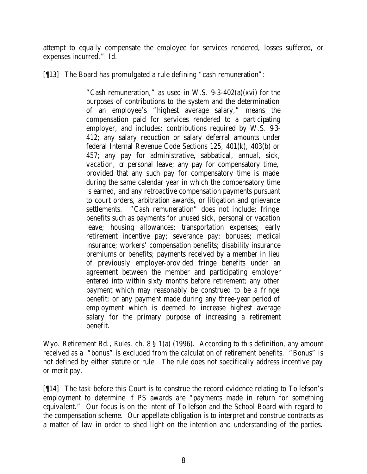attempt to equally compensate the employee for services rendered, losses suffered, or expenses incurred." *Id*.

[¶13] The Board has promulgated a rule defining "cash remuneration":

"Cash remuneration," as used in W.S.  $9-3-402(a)(xvi)$  for the purposes of contributions to the system and the determination of an employee's "highest average salary," means the compensation paid for services rendered to a participating employer, and includes: contributions required by W.S. 93-412; any salary reduction or salary deferral amounts under federal Internal Revenue Code Sections 125, 401(k), 403(b) or 457; any pay for administrative, sabbatical, annual, sick, vacation, or personal leave; any pay for compensatory time, provided that any such pay for compensatory time is made during the same calendar year in which the compensatory time is earned, and any retroactive compensation payments pursuant to court orders, arbitration awards, or litigation and grievance settlements. "Cash remuneration" does not include: fringe benefits such as payments for unused sick, personal or vacation leave; housing allowances; transportation expenses; early retirement incentive pay; severance pay; bonuses; medical insurance; workers' compensation benefits; disability insurance premiums or benefits; payments received by a member in lieu of previously employer-provided fringe benefits under an agreement between the member and participating employer entered into within sixty months before retirement; any other payment which may reasonably be construed to be a fringe benefit; or any payment made during any three-year period of employment which is deemed to increase highest average salary for the primary purpose of increasing a retirement benefit.

Wyo. Retirement Bd., *Rules,* ch. 8 § 1(a) (1996). According to this definition, any amount received as a "bonus" is excluded from the calculation of retirement benefits. "Bonus" is not defined by either statute or rule. The rule does not specifically address incentive pay or merit pay.

[¶14] The task before this Court is to construe the record evidence relating to Tollefson's employment to determine if PS awards are "payments made in return for something equivalent." Our focus is on the intent of Tollefson and the School Board with regard to the compensation scheme. Our appellate obligation is to interpret and construe contracts as a matter of law in order to shed light on the intention and understanding of the parties.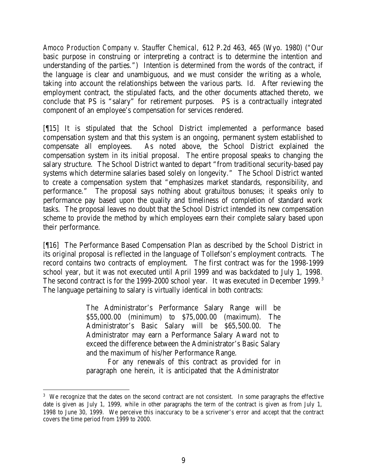*Amoco Production Company v. Stauffer Chemical,* 612 P.2d 463, 465 (Wyo. 1980) ("Our basic purpose in construing or interpreting a contract is to determine the intention and understanding of the parties.") Intention is determined from the words of the contract, if the language is clear and unambiguous, and we must consider the writing as a whole, taking into account the relationships between the various parts. *Id.* After reviewing the employment contract, the stipulated facts, and the other documents attached thereto, we conclude that PS is "salary" for retirement purposes. PS is a contractually integrated component of an employee's compensation for services rendered.

[¶15] It is stipulated that the School District implemented a performance based compensation system and that this system is an ongoing, permanent system established to compensate all employees. As noted above, the School District explained the compensation system in its initial proposal. The entire proposal speaks to changing the salary structure. The School District wanted to depart "from traditional security-based pay systems which determine salaries based solely on longevity." The School District wanted to create a compensation system that "emphasizes market standards, responsibility, and performance." The proposal says nothing about gratuitous bonuses; it speaks only to performance pay based upon the quality and timeliness of completion of standard work tasks. The proposal leaves no doubt that the School District intended its new compensation scheme to provide the method by which employees earn their complete salary based upon their performance.

[¶16] The Performance Based Compensation Plan as described by the School District in its original proposal is reflected in the language of Tollefson's employment contracts. The record contains two contracts of employment. The first contract was for the 1998-1999 school year, but it was not executed until April 1999 and was backdated to July 1, 1998. The second contract is for the 1999-2000 school year. It was executed in December 1999.<sup>3</sup> The language pertaining to salary is virtually identical in both contracts:

> The Administrator's Performance Salary Range will be \$55,000.00 (minimum) to \$75,000.00 (maximum). The Administrator's Basic Salary will be \$65,500.00. The Administrator may earn a Performance Salary Award not to exceed the difference between the Administrator's Basic Salary and the maximum of his/her Performance Range.

> For any renewals of this contract as provided for in paragraph one herein, it is anticipated that the Administrator

<sup>&</sup>lt;sup>3</sup> We recognize that the dates on the second contract are not consistent. In some paragraphs the effective date is given as July 1, 1999, while in other paragraphs the term of the contract is given as from July 1, 1998 to June 30, 1999. We perceive this inaccuracy to be a scrivener's error and accept that the contract covers the time period from 1999 to 2000.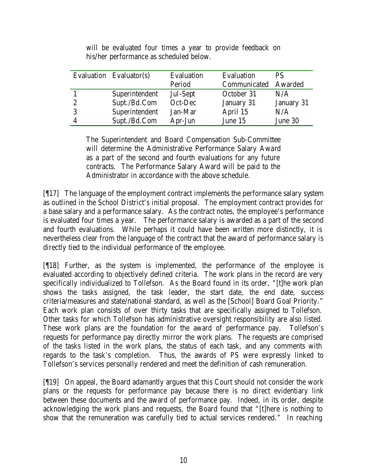|                | Evaluation Evaluator(s) | Evaluation | Evaluation           | <b>PS</b>  |
|----------------|-------------------------|------------|----------------------|------------|
|                |                         | Period     | Communicated Awarded |            |
|                | Superintendent          | Jul-Sept   | October 31           | N/A        |
| $\overline{2}$ | Supt./Bd.Com            | Oct-Dec    | January 31           | January 31 |
| -3             | Superintendent          | Jan-Mar    | April 15             | N/A        |
| $\overline{4}$ | Supt./Bd.Com            | Apr-Jun    | June 15              | June 30    |

will be evaluated four times a year to provide feedback on his/her performance as scheduled below.

The Superintendent and Board Compensation Sub-Committee will determine the Administrative Performance Salary Award as a part of the second and fourth evaluations for any future contracts. The Performance Salary Award will be paid to the Administrator in accordance with the above schedule.

[¶17] The language of the employment contract implements the performance salary system as outlined in the School District's initial proposal. The employment contract provides for a base salary and a performance salary. As the contract notes, the employee's performance is evaluated four times a year. The performance salary is awarded as a part of the second and fourth evaluations. While perhaps it could have been written more distinctly, it is nevertheless clear from the language of the contract that the award of performance salary is directly tied to the individual performance of the employee.

[¶18] Further, as the system is implemented, the performance of the employee is evaluated according to objectively defined criteria. The work plans in the record are very specifically individualized to Tollefson. As the Board found in its order, "[t]he work plan shows the tasks assigned, the task leader, the start date, the end date, success criteria/measures and state/national standard, as well as the [School] Board Goal Priority." Each work plan consists of over thirty tasks that are specifically assigned to Tollefson. Other tasks for which Tollefson has administrative oversight responsibility are also listed. These work plans are the foundation for the award of performance pay. Tollefson's requests for performance pay directly mirror the work plans. The requests are comprised of the tasks listed in the work plans, the status of each task, and any comments with regards to the task's completion. Thus, the awards of PS were expressly linked to Tollefson's services personally rendered and meet the definition of cash remuneration.

[¶19] On appeal, the Board adamantly argues that this Court should not consider the work plans or the requests for performance pay because there is no direct evidentiary link between these documents and the award of performance pay. Indeed, in its order, despite acknowledging the work plans and requests, the Board found that "[t]here is nothing to show that the remuneration was carefully tied to actual services rendered." In reaching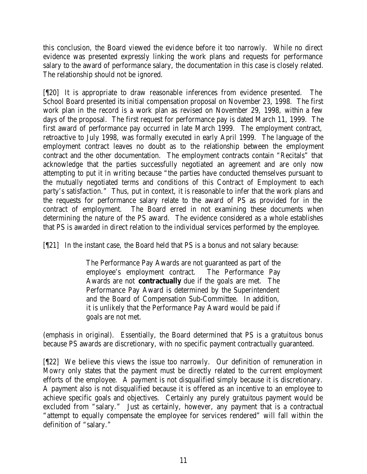this conclusion, the Board viewed the evidence before it too narrowly. While no direct evidence was presented expressly linking the work plans and requests for performance salary to the award of performance salary, the documentation in this case is closely related. The relationship should not be ignored.

[¶20] It is appropriate to draw reasonable inferences from evidence presented. The School Board presented its initial compensation proposal on November 23, 1998. The first work plan in the record is a work plan as revised on November 29, 1998, within a few days of the proposal. The first request for performance pay is dated March 11, 1999. The first award of performance pay occurred in late March 1999. The employment contract, retroactive to July 1998, was formally executed in early April 1999. The language of the employment contract leaves no doubt as to the relationship between the employment contract and the other documentation. The employment contracts contain "Recitals" that acknowledge that the parties successfully negotiated an agreement and are only now attempting to put it in writing because "the parties have conducted themselves pursuant to the mutually negotiated terms and conditions of this Contract of Employment to each party's satisfaction." Thus, put in context, it is reasonable to infer that the work plans and the requests for performance salary relate to the award of PS as provided for in the contract of employment. The Board erred in not examining these documents when determining the nature of the PS award. The evidence considered as a whole establishes that PS is awarded in direct relation to the individual services performed by the employee.

[¶21] In the instant case, the Board held that PS is a bonus and not salary because:

The Performance Pay Awards are not guaranteed as part of the employee's employment contract. The Performance Pay Awards are not **contractually** due if the goals are met. The Performance Pay Award is determined by the Superintendent and the Board of Compensation Sub-Committee. In addition, it is unlikely that the Performance Pay Award would be paid if goals are not met.

(emphasis in original). Essentially, the Board determined that PS is a gratuitous bonus because PS awards are discretionary, with no specific payment contractually guaranteed.

[¶22] We believe this views the issue too narrowly. Our definition of remuneration in *Mowry* only states that the payment must be directly related to the current employment efforts of the employee. A payment is not disqualified simply because it is discretionary. A payment also is not disqualified because it is offered as an incentive to an employee to achieve specific goals and objectives. Certainly any purely gratuitous payment would be excluded from "salary." Just as certainly, however, any payment that is a contractual "attempt to equally compensate the employee for services rendered" will fall within the definition of "salary."